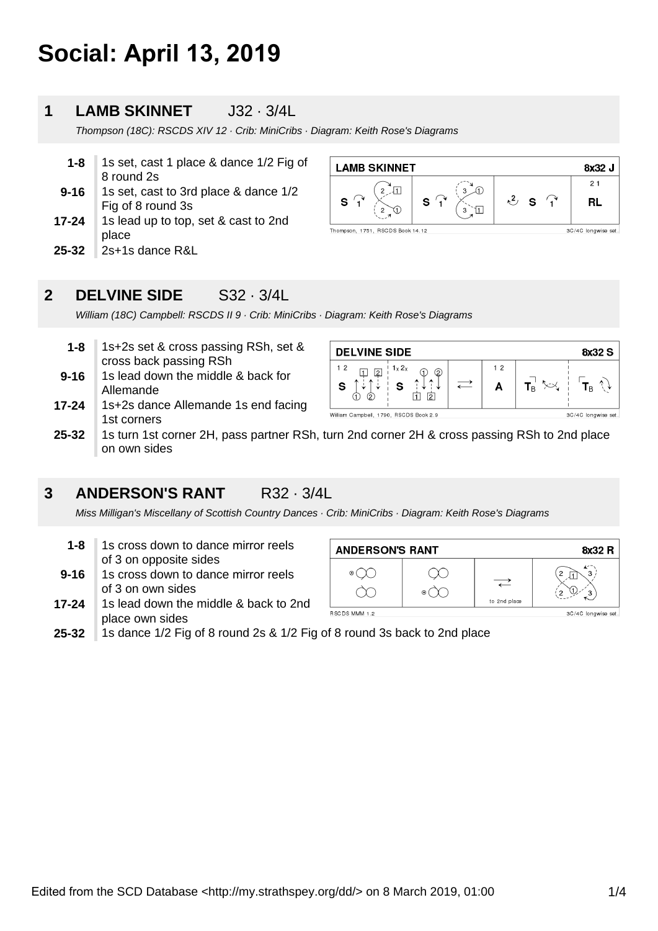# **Social: April 13, 2019**

#### **1 LAMB SKINNET** J32 · 3/4L

Thompson (18C): RSCDS XIV 12 · Crib: MiniCribs · Diagram: Keith Rose's Diagrams

| 1-8  | 1s set, cast 1 place & dance 1/2 Fig of |
|------|-----------------------------------------|
|      | 8 round 2s                              |
| 9-16 | 1s set, cast to 3rd place & dance 1/2   |

- **17-24** Fig of 8 round 3s 1s lead up to top, set & cast to 2nd
- place
- **25-32** 2s+1s dance R&L



#### **2 DELVINE SIDE** S32 · 3/4L

William (18C) Campbell: RSCDS II 9 · Crib: MiniCribs · Diagram: Keith Rose's Diagrams

| 1-8 ⊹ | 1s+2s set & cross passing RSh, set & |
|-------|--------------------------------------|
|       | cross back passing RSh               |

- **9-16** 1s lead down the middle & back for Allemande
- **17-24** 1s+2s dance Allemande 1s end facing 1st corners



**25-32** 1s turn 1st corner 2H, pass partner RSh, turn 2nd corner 2H & cross passing RSh to 2nd place on own sides

### **3 ANDERSON'S RANT** R32 · 3/4L

Miss Milligan's Miscellany of Scottish Country Dances · Crib: MiniCribs · Diagram: Keith Rose's Diagrams

- **1-8** 1s cross down to dance mirror reels of 3 on opposite sides
- **9-16** 1s cross down to dance mirror reels of 3 on own sides
- **17-24** 1s lead down the middle & back to 2nd place own sides



**25-32** 1s dance 1/2 Fig of 8 round 2s & 1/2 Fig of 8 round 3s back to 2nd place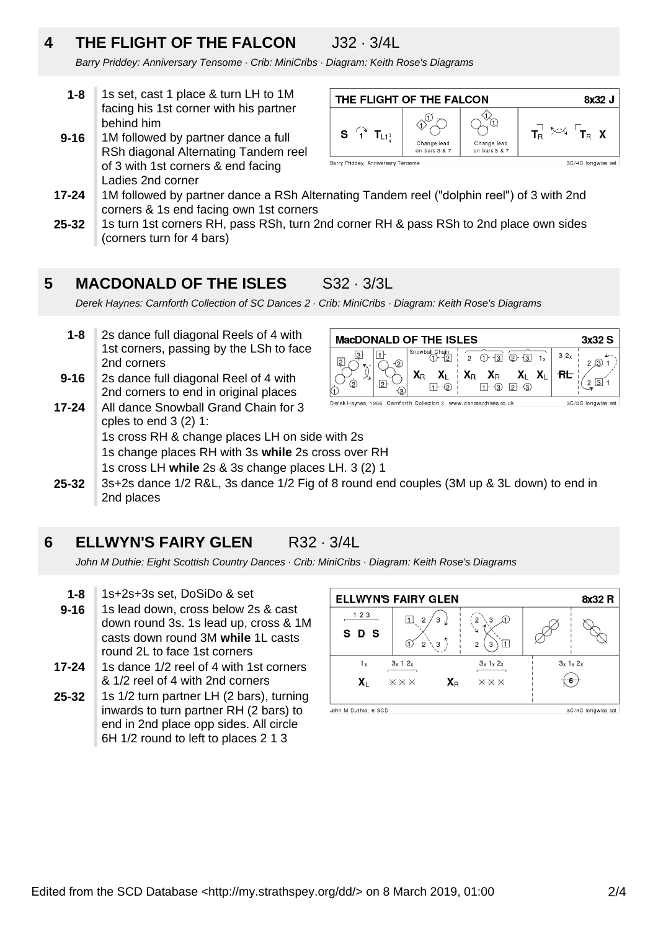# **4 THE FLIGHT OF THE FALCON** J32 · 3/4L

Barry Priddey: Anniversary Tensome · Crib: MiniCribs · Diagram: Keith Rose's Diagrams

- **1-8** 1s set, cast 1 place & turn LH to 1M facing his 1st corner with his partner behind him
- **9-16** 1M followed by partner dance a full RSh diagonal Alternating Tandem reel of 3 with 1st corners & end facing Ladies 2nd corner



- **17-24** 1M followed by partner dance a RSh Alternating Tandem reel ("dolphin reel") of 3 with 2nd corners & 1s end facing own 1st corners
- **25-32** 1s turn 1st corners RH, pass RSh, turn 2nd corner RH & pass RSh to 2nd place own sides (corners turn for 4 bars)

### **5 MACDONALD OF THE ISLES** S32 · 3/3L

Derek Haynes: Carnforth Collection of SC Dances 2 · Crib: MiniCribs · Diagram: Keith Rose's Diagrams

- **9-16 1-8** 2s dance full diagonal Reels of 4 with 1st corners, passing by the LSh to face 2nd corners 2s dance full diagonal Reel of 4 with
- **17-24** 2nd corners to end in original places All dance Snowball Grand Chain for 3

| <b>MacDONALD OF THE ISLES</b><br>3x32S |  |                                                                     |                                                                                                                                                                                 |                  |     |                     |
|----------------------------------------|--|---------------------------------------------------------------------|---------------------------------------------------------------------------------------------------------------------------------------------------------------------------------|------------------|-----|---------------------|
|                                        |  | Snowball_Chain                                                      | $(1)$ $\overline{3}$                                                                                                                                                            | $(2)$ $\sqrt{3}$ | 32x |                     |
| 2                                      |  | $\mathsf{X}_\mathsf{R}$                                             | $\begin{array}{c} \mathbf{X}_L \vdash \mathbf{X}_R \quad \mathbf{X}_R \quad \mathbf{X}_L \quad \mathbf{X}_L \ \hline \vdash \textcircled{2} \vdash \textcircled{3} \end{array}$ |                  |     |                     |
|                                        |  | Derek Haynes, 1966, Carnforth Collection 2, www.dancearchives.co.uk |                                                                                                                                                                                 |                  |     | 3C/3C longwise set. |

- cples to end 3 (2) 1: 1s cross RH & change places LH on side with 2s 1s change places RH with 3s while 2s cross over RH
- 1s cross LH while 2s & 3s change places LH. 3 (2) 1
- **25-32** 3s+2s dance 1/2 R&L, 3s dance 1/2 Fig of 8 round end couples (3M up & 3L down) to end in 2nd places

### **6 ELLWYN'S FAIRY GLEN** R32 · 3/4L

John M Duthie: Eight Scottish Country Dances · Crib: MiniCribs · Diagram: Keith Rose's Diagrams

- **1-8** 1s+2s+3s set, DoSiDo & set
- **9-16** 1s lead down, cross below 2s & cast down round 3s. 1s lead up, cross & 1M casts down round 3M while 1L casts round 2L to face 1st corners
- **17-24** 1s dance 1/2 reel of 4 with 1st corners & 1/2 reel of 4 with 2nd corners
- **25-32** 1s 1/2 turn partner LH (2 bars), turning inwards to turn partner RH (2 bars) to end in 2nd place opp sides. All circle 6H 1/2 round to left to places 2 1 3

|                      | <b>ELLWYN'S FAIRY GLEN</b>                              |                                      | 8x32 R              |
|----------------------|---------------------------------------------------------|--------------------------------------|---------------------|
| 123<br>S D S         | 3<br>2<br>3<br>$\overline{c}$                           | (1)<br>3<br>山<br>2<br>З              |                     |
| 1 x<br>X.            | 3x 12x<br>$\mathbf{X}_\text{R}$<br>$\times\times\times$ | $3x$ 1x $2x$<br>$\times\times\times$ | $3x$ $1x$ $2x$      |
| John M Duthie, 8 SCD |                                                         |                                      | 3C/4C longwise set. |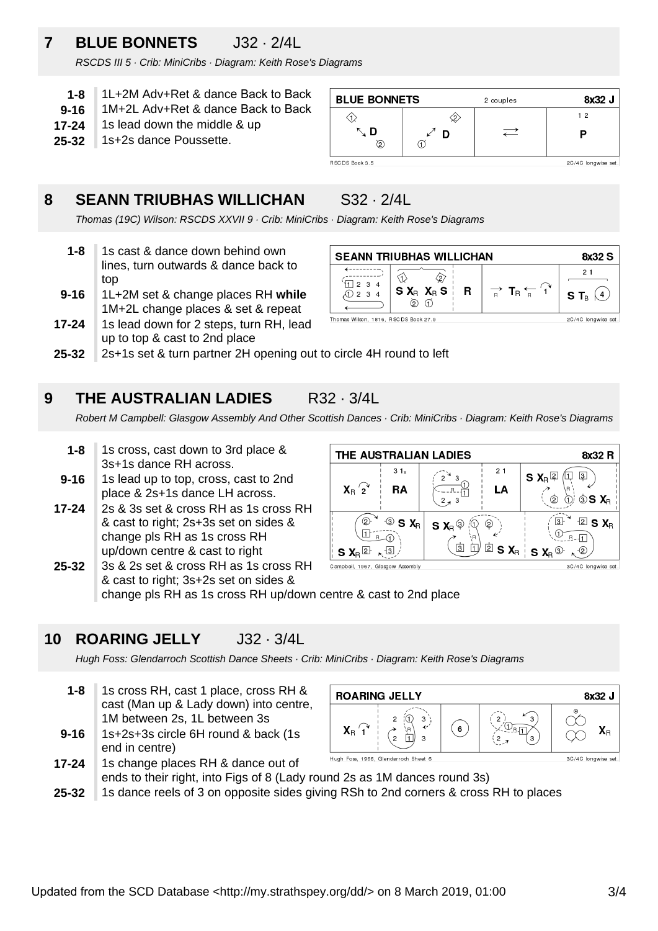# **7 BLUE BONNETS** J32 · 2/4L

RSCDS III 5 · Crib: MiniCribs · Diagram: Keith Rose's Diagrams

- **1-8** 1L+2M Adv+Ret & dance Back to Back
- **9-16** 1M+2L Adv+Ret & dance Back to Back
- **17-24** 1s lead down the middle & up
- **25-32** 1s+2s dance Poussette.

### **8 SEANN TRIUBHAS WILLICHAN** S32 · 2/4L

Thomas (19C) Wilson: RSCDS XXVII 9 · Crib: MiniCribs · Diagram: Keith Rose's Diagrams

- **1-8** 1s cast & dance down behind own lines, turn outwards & dance back to top
- **9-16** 1L+2M set & change places RH **while** 1M+2L change places & set & repeat
- **17-24** 1s lead down for 2 steps, turn RH, lead up to top & cast to 2nd place





**25-32** 2s+1s set & turn partner 2H opening out to circle 4H round to left

### **9 THE AUSTRALIAN LADIES** R32 · 3/4L

Robert M Campbell: Glasgow Assembly And Other Scottish Dances · Crib: MiniCribs · Diagram: Keith Rose's Diagrams

- **1-8** 1s cross, cast down to 3rd place & 3s+1s dance RH across.
- **9-16** 1s lead up to top, cross, cast to 2nd place & 2s+1s dance LH across.
- **17-24** 2s & 3s set & cross RH as 1s cross RH & cast to right; 2s+3s set on sides & change pls RH as 1s cross RH up/down centre & cast to right



**<sup>25-32</sup>** 3s & 2s set & cross RH as 1s cross RH & cast to right; 3s+2s set on sides & change pls RH as 1s cross RH up/down centre & cast to 2nd place

## **10 ROARING JELLY** J32 · 3/4L

Hugh Foss: Glendarroch Scottish Dance Sheets · Crib: MiniCribs · Diagram: Keith Rose's Diagrams

- **1-8** 1s cross RH, cast 1 place, cross RH & cast (Man up & Lady down) into centre, 1M between 2s, 1L between 3s
- **9-16** 1s+2s+3s circle 6H round & back (1s end in centre)



- **17-24** 1s change places RH & dance out of ends to their right, into Figs of 8 (Lady round 2s as 1M dances round 3s)
- **25-32** 1s dance reels of 3 on opposite sides giving RSh to 2nd corners & cross RH to places